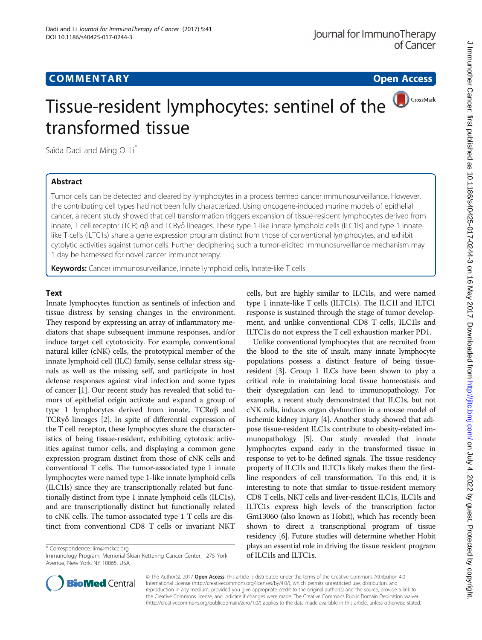# **COMMENTARY COMMENTARY Open Access**

# CrossMark Tissue-resident lymphocytes: sentinel of the transformed tissue

Saïda Dadi and Ming O. Li<sup>\*</sup>

## Abstract

Tumor cells can be detected and cleared by lymphocytes in a process termed cancer immunosurveillance. However, the contributing cell types had not been fully characterized. Using oncogene-induced murine models of epithelial cancer, a recent study showed that cell transformation triggers expansion of tissue-resident lymphocytes derived from innate, T cell receptor (TCR) αβ and TCRγδ lineages. These type-1-like innate lymphoid cells (ILC1ls) and type 1 innatelike T cells (ILTC1s) share a gene expression program distinct from those of conventional lymphocytes, and exhibit cytolytic activities against tumor cells. Further deciphering such a tumor-elicited immunosurveillance mechanism may 1 day be harnessed for novel cancer immunotherapy.

Keywords: Cancer immunosurveillance, Innate lymphoid cells, Innate-like T cells

## **Text**

Innate lymphocytes function as sentinels of infection and tissue distress by sensing changes in the environment. They respond by expressing an array of inflammatory mediators that shape subsequent immune responses, and/or induce target cell cytotoxicity. For example, conventional natural killer (cNK) cells, the prototypical member of the innate lymphoid cell (ILC) family, sense cellular stress signals as well as the missing self, and participate in host defense responses against viral infection and some types of cancer [\[1\]](#page-2-0). Our recent study has revealed that solid tumors of epithelial origin activate and expand a group of type 1 lymphocytes derived from innate, TCRαβ and TCRγδ lineages [[2\]](#page-2-0). In spite of differential expression of the T cell receptor, these lymphocytes share the characteristics of being tissue-resident, exhibiting cytotoxic activities against tumor cells, and displaying a common gene expression program distinct from those of cNK cells and conventional T cells. The tumor-associated type 1 innate lymphocytes were named type 1-like innate lymphoid cells (ILC1ls) since they are transcriptionally related but functionally distinct from type 1 innate lymphoid cells (ILC1s), and are transcriptionally distinct but functionally related to cNK cells. The tumor-associated type 1 T cells are distinct from conventional CD8 T cells or invariant NKT

\* Correspondence: [lim@mskcc.org](mailto:lim@mskcc.org)

cells, but are highly similar to ILC1ls, and were named type 1 innate-like T cells (ILTC1s). The ILC1l and ILTC1 response is sustained through the stage of tumor development, and unlike conventional CD8 T cells, ILC1ls and ILTC1s do not express the T cell exhaustion marker PD1.

Unlike conventional lymphocytes that are recruited from the blood to the site of insult, many innate lymphocyte populations possess a distinct feature of being tissueresident [\[3\]](#page-2-0). Group 1 ILCs have been shown to play a critical role in maintaining local tissue homeostasis and their dysregulation can lead to immunopathology. For example, a recent study demonstrated that ILC1s, but not cNK cells, induces organ dysfunction in a mouse model of ischemic kidney injury [[4](#page-2-0)]. Another study showed that adipose tissue-resident ILC1s contribute to obesity-related immunopathology [[5](#page-2-0)]. Our study revealed that innate lymphocytes expand early in the transformed tissue in response to yet-to-be defined signals. The tissue residency property of ILC1ls and ILTC1s likely makes them the firstline responders of cell transformation. To this end, it is interesting to note that similar to tissue-resident memory CD8 T cells, NKT cells and liver-resident ILC1s, ILC1ls and ILTC1s express high levels of the transcription factor Gm13060 (also known as Hobit), which has recently been shown to direct a transcriptional program of tissue residency [[6](#page-2-0)]. Future studies will determine whether Hobit plays an essential role in driving the tissue resident program of ILC1ls and ILTC1s.



© The Author(s). 2017 **Open Access** This article is distributed under the terms of the Creative Commons Attribution 4.0 International License [\(http://creativecommons.org/licenses/by/4.0/](http://creativecommons.org/licenses/by/4.0/)), which permits unrestricted use, distribution, and reproduction in any medium, provided you give appropriate credit to the original author(s) and the source, provide a link to the Creative Commons license, and indicate if changes were made. The Creative Commons Public Domain Dedication waiver [\(http://creativecommons.org/publicdomain/zero/1.0/](http://creativecommons.org/publicdomain/zero/1.0/)) applies to the data made available in this article, unless otherwise stated.

Immunology Program, Memorial Sloan Kettering Cancer Center, 1275 York Avenue, New York, NY 10065, USA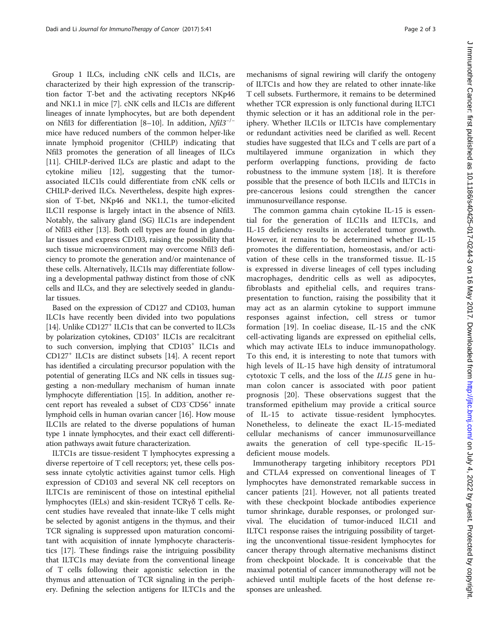Group 1 ILCs, including cNK cells and ILC1s, are characterized by their high expression of the transcription factor T-bet and the activating receptors NKp46 and NK1.1 in mice [\[7](#page-2-0)]. cNK cells and ILC1s are different lineages of innate lymphocytes, but are both dependent on Nfil3 for differentiation [\[8](#page-2-0)–[10](#page-2-0)]. In addition, Nfil3−/<sup>−</sup> mice have reduced numbers of the common helper-like innate lymphoid progenitor (CHILP) indicating that Nfil3 promotes the generation of all lineages of ILCs [[11\]](#page-2-0). CHILP-derived ILCs are plastic and adapt to the cytokine milieu [\[12](#page-2-0)], suggesting that the tumorassociated ILC1ls could differentiate from cNK cells or CHILP-derived ILCs. Nevertheless, despite high expression of T-bet, NKp46 and NK1.1, the tumor-elicited ILC1l response is largely intact in the absence of Nfil3. Notably, the salivary gland (SG) ILC1s are independent of Nfil3 either [[13\]](#page-2-0). Both cell types are found in glandular tissues and express CD103, raising the possibility that such tissue microenvironment may overcome Nfil3 deficiency to promote the generation and/or maintenance of these cells. Alternatively, ILC1ls may differentiate following a developmental pathway distinct from those of cNK cells and ILCs, and they are selectively seeded in glandular tissues.

Based on the expression of CD127 and CD103, human ILC1s have recently been divided into two populations [[14](#page-2-0)]. Unlike CD127<sup>+</sup> ILC1s that can be converted to ILC3s by polarization cytokines, CD103<sup>+</sup> ILC1s are recalcitrant to such conversion, implying that CD103<sup>+</sup> ILC1s and CD127+ ILC1s are distinct subsets [[14](#page-2-0)]. A recent report has identified a circulating precursor population with the potential of generating ILCs and NK cells in tissues suggesting a non-medullary mechanism of human innate lymphocyte differentiation [[15](#page-2-0)]. In addition, another recent report has revealed a subset of CD3<sup>−</sup> CD56+ innate lymphoid cells in human ovarian cancer [\[16\]](#page-2-0). How mouse ILC1ls are related to the diverse populations of human type 1 innate lymphocytes, and their exact cell differentiation pathways await future characterization.

ILTC1s are tissue-resident T lymphocytes expressing a diverse repertoire of T cell receptors; yet, these cells possess innate cytolytic activities against tumor cells. High expression of CD103 and several NK cell receptors on ILTC1s are reminiscent of those on intestinal epithelial lymphocytes (IELs) and skin-resident TCRγδ T cells. Recent studies have revealed that innate-like T cells might be selected by agonist antigens in the thymus, and their TCR signaling is suppressed upon maturation concomitant with acquisition of innate lymphocyte characteristics [\[17](#page-2-0)]. These findings raise the intriguing possibility that ILTC1s may deviate from the conventional lineage of T cells following their agonistic selection in the thymus and attenuation of TCR signaling in the periphery. Defining the selection antigens for ILTC1s and the

mechanisms of signal rewiring will clarify the ontogeny of ILTC1s and how they are related to other innate-like T cell subsets. Furthermore, it remains to be determined whether TCR expression is only functional during ILTC1 thymic selection or it has an additional role in the periphery. Whether ILC1ls or ILTC1s have complementary or redundant activities need be clarified as well. Recent studies have suggested that ILCs and T cells are part of a multilayered immune organization in which they perform overlapping functions, providing de facto robustness to the immune system [[18\]](#page-2-0). It is therefore possible that the presence of both ILC1ls and ILTC1s in pre-cancerous lesions could strengthen the cancer immunosurveillance response.

The common gamma chain cytokine IL-15 is essential for the generation of ILC1ls and ILTC1s, and IL-15 deficiency results in accelerated tumor growth. However, it remains to be determined whether IL-15 promotes the differentiation, homeostasis, and/or activation of these cells in the transformed tissue. IL-15 is expressed in diverse lineages of cell types including macrophages, dendritic cells as well as adipocytes, fibroblasts and epithelial cells, and requires transpresentation to function, raising the possibility that it may act as an alarmin cytokine to support immune responses against infection, cell stress or tumor formation [[19\]](#page-2-0). In coeliac disease, IL-15 and the cNK cell-activating ligands are expressed on epithelial cells, which may activate IELs to induce immunopathology. To this end, it is interesting to note that tumors with high levels of IL-15 have high density of intratumoral cytotoxic T cells, and the loss of the IL15 gene in human colon cancer is associated with poor patient prognosis [\[20](#page-2-0)]. These observations suggest that the transformed epithelium may provide a critical source of IL-15 to activate tissue-resident lymphocytes. Nonetheless, to delineate the exact IL-15-mediated cellular mechanisms of cancer immunosurveillance awaits the generation of cell type-specific IL-15 deficient mouse models.

Immunotherapy targeting inhibitory receptors PD1 and CTLA4 expressed on conventional lineages of T lymphocytes have demonstrated remarkable success in cancer patients [[21\]](#page-2-0). However, not all patients treated with these checkpoint blockade antibodies experience tumor shrinkage, durable responses, or prolonged survival. The elucidation of tumor-induced ILC1l and ILTC1 response raises the intriguing possibility of targeting the unconventional tissue-resident lymphocytes for cancer therapy through alternative mechanisms distinct from checkpoint blockade. It is conceivable that the maximal potential of cancer immunotherapy will not be achieved until multiple facets of the host defense responses are unleashed.